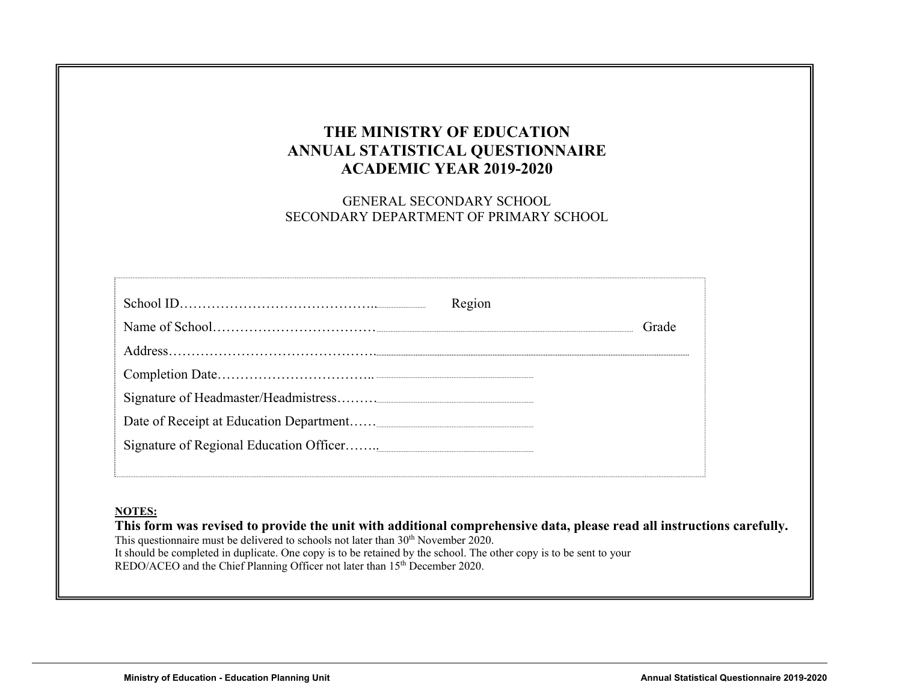### **THE MINISTRY OF EDUCATION ANNUAL STATISTICAL QUESTIONNAIRE ACADEMIC YEAR 2019-2020**

GENERAL SECONDARY SCHOOL SECONDARY DEPARTMENT OF PRIMARY SCHOOL

| Region |       |
|--------|-------|
|        | Grade |
|        |       |
|        |       |
|        |       |
|        |       |
|        |       |
|        |       |

#### **NOTES:**

**This form was revised to provide the unit with additional comprehensive data, please read all instructions carefully.**  This questionnaire must be delivered to schools not later than 30<sup>th</sup> November 2020. It should be completed in duplicate. One copy is to be retained by the school. The other copy is to be sent to your REDO/ACEO and the Chief Planning Officer not later than 15<sup>th</sup> December 2020.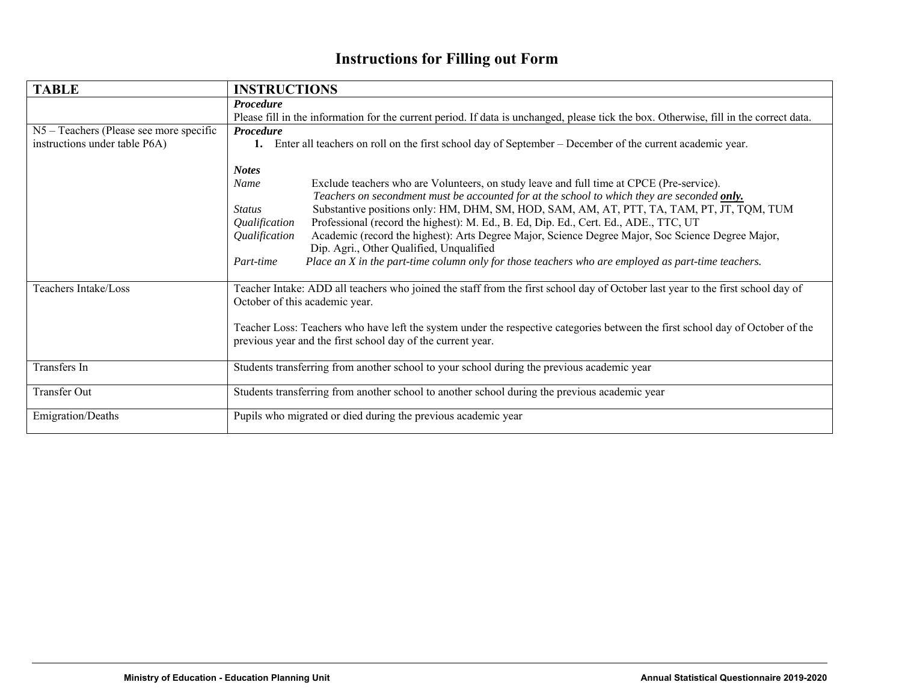# **Instructions for Filling out Form**

| <b>TABLE</b>                            | <b>INSTRUCTIONS</b>                                                                                                                                                                                                                                                                                                                                                                                                                                                                                                                                                                                                                                                                                                         |  |  |  |  |  |  |  |  |  |
|-----------------------------------------|-----------------------------------------------------------------------------------------------------------------------------------------------------------------------------------------------------------------------------------------------------------------------------------------------------------------------------------------------------------------------------------------------------------------------------------------------------------------------------------------------------------------------------------------------------------------------------------------------------------------------------------------------------------------------------------------------------------------------------|--|--|--|--|--|--|--|--|--|
|                                         | <b>Procedure</b>                                                                                                                                                                                                                                                                                                                                                                                                                                                                                                                                                                                                                                                                                                            |  |  |  |  |  |  |  |  |  |
|                                         | Please fill in the information for the current period. If data is unchanged, please tick the box. Otherwise, fill in the correct data.                                                                                                                                                                                                                                                                                                                                                                                                                                                                                                                                                                                      |  |  |  |  |  |  |  |  |  |
| N5 – Teachers (Please see more specific | Procedure                                                                                                                                                                                                                                                                                                                                                                                                                                                                                                                                                                                                                                                                                                                   |  |  |  |  |  |  |  |  |  |
| instructions under table P6A)           | Enter all teachers on roll on the first school day of September – December of the current academic year.<br>1.                                                                                                                                                                                                                                                                                                                                                                                                                                                                                                                                                                                                              |  |  |  |  |  |  |  |  |  |
|                                         | <b>Notes</b><br>Name<br>Exclude teachers who are Volunteers, on study leave and full time at CPCE (Pre-service).<br>Teachers on secondment must be accounted for at the school to which they are seconded only.<br>Substantive positions only: HM, DHM, SM, HOD, SAM, AM, AT, PTT, TA, TAM, PT, JT, TQM, TUM<br><b>Status</b><br>Professional (record the highest): M. Ed., B. Ed, Dip. Ed., Cert. Ed., ADE., TTC, UT<br>Qualification<br>Academic (record the highest): Arts Degree Major, Science Degree Major, Soc Science Degree Major,<br>Qualification<br>Dip. Agri., Other Qualified, Unqualified<br>Place an X in the part-time column only for those teachers who are employed as part-time teachers.<br>Part-time |  |  |  |  |  |  |  |  |  |
|                                         |                                                                                                                                                                                                                                                                                                                                                                                                                                                                                                                                                                                                                                                                                                                             |  |  |  |  |  |  |  |  |  |
| Teachers Intake/Loss                    | Teacher Intake: ADD all teachers who joined the staff from the first school day of October last year to the first school day of<br>October of this academic year.                                                                                                                                                                                                                                                                                                                                                                                                                                                                                                                                                           |  |  |  |  |  |  |  |  |  |
|                                         | Teacher Loss: Teachers who have left the system under the respective categories between the first school day of October of the<br>previous year and the first school day of the current year.                                                                                                                                                                                                                                                                                                                                                                                                                                                                                                                               |  |  |  |  |  |  |  |  |  |
| Transfers In                            | Students transferring from another school to your school during the previous academic year                                                                                                                                                                                                                                                                                                                                                                                                                                                                                                                                                                                                                                  |  |  |  |  |  |  |  |  |  |
| Transfer Out                            | Students transferring from another school to another school during the previous academic year                                                                                                                                                                                                                                                                                                                                                                                                                                                                                                                                                                                                                               |  |  |  |  |  |  |  |  |  |
| Emigration/Deaths                       | Pupils who migrated or died during the previous academic year                                                                                                                                                                                                                                                                                                                                                                                                                                                                                                                                                                                                                                                               |  |  |  |  |  |  |  |  |  |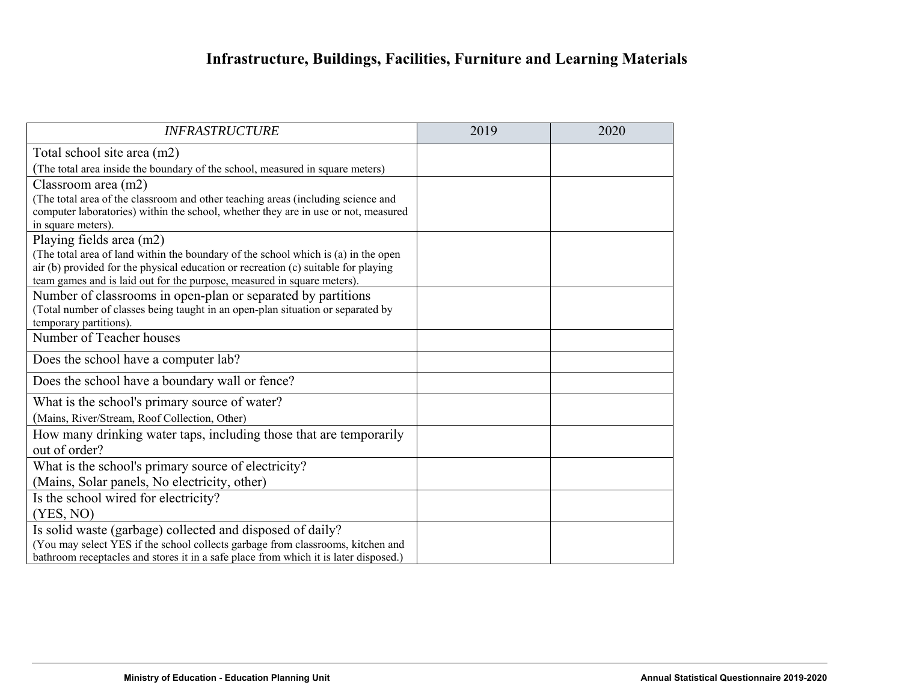# **Infrastructure, Buildings, Facilities, Furniture and Learning Materials**

| <b>INFRASTRUCTURE</b>                                                                                                                                                                                                                               | 2019 | 2020 |
|-----------------------------------------------------------------------------------------------------------------------------------------------------------------------------------------------------------------------------------------------------|------|------|
| Total school site area (m2)                                                                                                                                                                                                                         |      |      |
| (The total area inside the boundary of the school, measured in square meters)                                                                                                                                                                       |      |      |
| Classroom area (m2)                                                                                                                                                                                                                                 |      |      |
| (The total area of the classroom and other teaching areas (including science and<br>computer laboratories) within the school, whether they are in use or not, measured<br>in square meters).                                                        |      |      |
| Playing fields area (m2)                                                                                                                                                                                                                            |      |      |
| (The total area of land within the boundary of the school which is (a) in the open<br>air (b) provided for the physical education or recreation (c) suitable for playing<br>team games and is laid out for the purpose, measured in square meters). |      |      |
| Number of classrooms in open-plan or separated by partitions<br>(Total number of classes being taught in an open-plan situation or separated by<br>temporary partitions).                                                                           |      |      |
| Number of Teacher houses                                                                                                                                                                                                                            |      |      |
| Does the school have a computer lab?                                                                                                                                                                                                                |      |      |
| Does the school have a boundary wall or fence?                                                                                                                                                                                                      |      |      |
| What is the school's primary source of water?                                                                                                                                                                                                       |      |      |
| (Mains, River/Stream, Roof Collection, Other)                                                                                                                                                                                                       |      |      |
| How many drinking water taps, including those that are temporarily<br>out of order?                                                                                                                                                                 |      |      |
| What is the school's primary source of electricity?                                                                                                                                                                                                 |      |      |
| (Mains, Solar panels, No electricity, other)                                                                                                                                                                                                        |      |      |
| Is the school wired for electricity?                                                                                                                                                                                                                |      |      |
| (YES, NO)                                                                                                                                                                                                                                           |      |      |
| Is solid waste (garbage) collected and disposed of daily?<br>(You may select YES if the school collects garbage from classrooms, kitchen and<br>bathroom receptacles and stores it in a safe place from which it is later disposed.)                |      |      |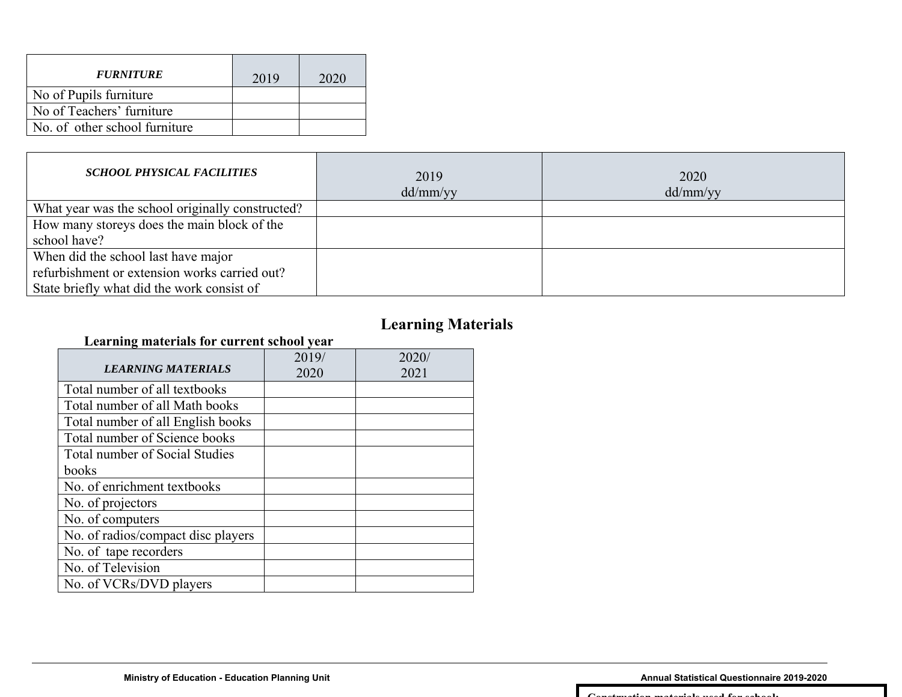| <b>FURNITURE</b>              | 2019 | 2020 |
|-------------------------------|------|------|
| No of Pupils furniture        |      |      |
| No of Teachers' furniture     |      |      |
| No. of other school furniture |      |      |
|                               |      |      |

| <b>SCHOOL PHYSICAL FACILITIES</b>                | 2019<br>dd/mm/yy | 2020<br>dd/mm/yy |
|--------------------------------------------------|------------------|------------------|
| What year was the school originally constructed? |                  |                  |
| How many storeys does the main block of the      |                  |                  |
| school have?                                     |                  |                  |
| When did the school last have major              |                  |                  |
| refurbishment or extension works carried out?    |                  |                  |
| State briefly what did the work consist of       |                  |                  |

# **Learning Materials**

#### **Learning materials for current school year**

| <b>LEARNING MATERIALS</b>          | 2019/<br>2020 | 2020/<br>2021 |
|------------------------------------|---------------|---------------|
| Total number of all textbooks      |               |               |
| Total number of all Math books     |               |               |
| Total number of all English books  |               |               |
| Total number of Science books      |               |               |
| Total number of Social Studies     |               |               |
| books                              |               |               |
| No. of enrichment textbooks        |               |               |
| No. of projectors                  |               |               |
| No. of computers                   |               |               |
| No. of radios/compact disc players |               |               |
| No. of tape recorders              |               |               |
| No. of Television                  |               |               |
| No. of VCRs/DVD players            |               |               |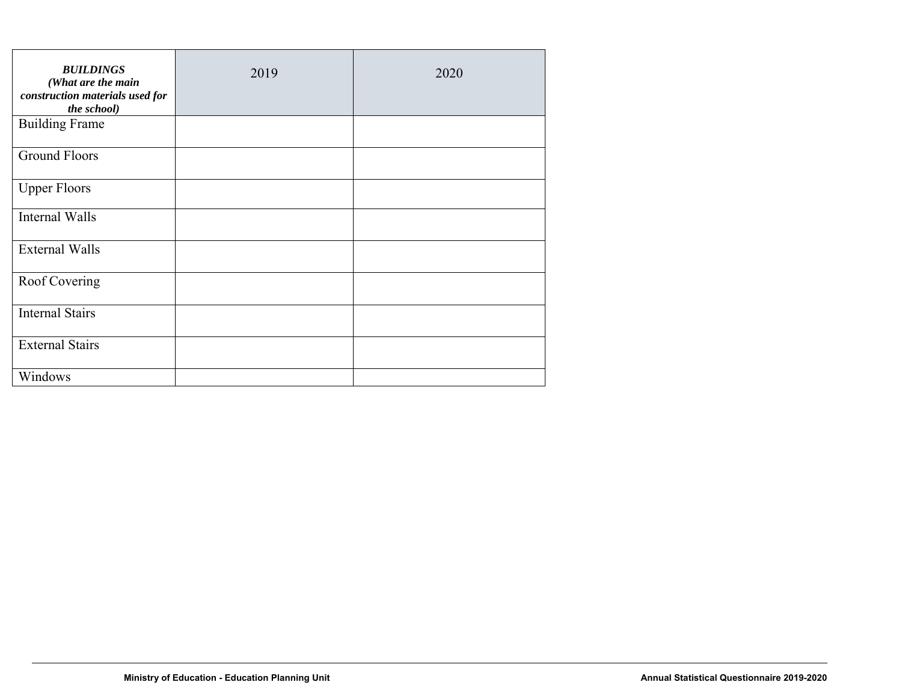| <b>BUILDINGS</b><br>(What are the main<br>construction materials used for<br>the school) | 2019 | 2020 |
|------------------------------------------------------------------------------------------|------|------|
| <b>Building Frame</b>                                                                    |      |      |
| <b>Ground Floors</b>                                                                     |      |      |
| <b>Upper Floors</b>                                                                      |      |      |
| Internal Walls                                                                           |      |      |
| <b>External Walls</b>                                                                    |      |      |
| Roof Covering                                                                            |      |      |
| <b>Internal Stairs</b>                                                                   |      |      |
| <b>External Stairs</b>                                                                   |      |      |
| Windows                                                                                  |      |      |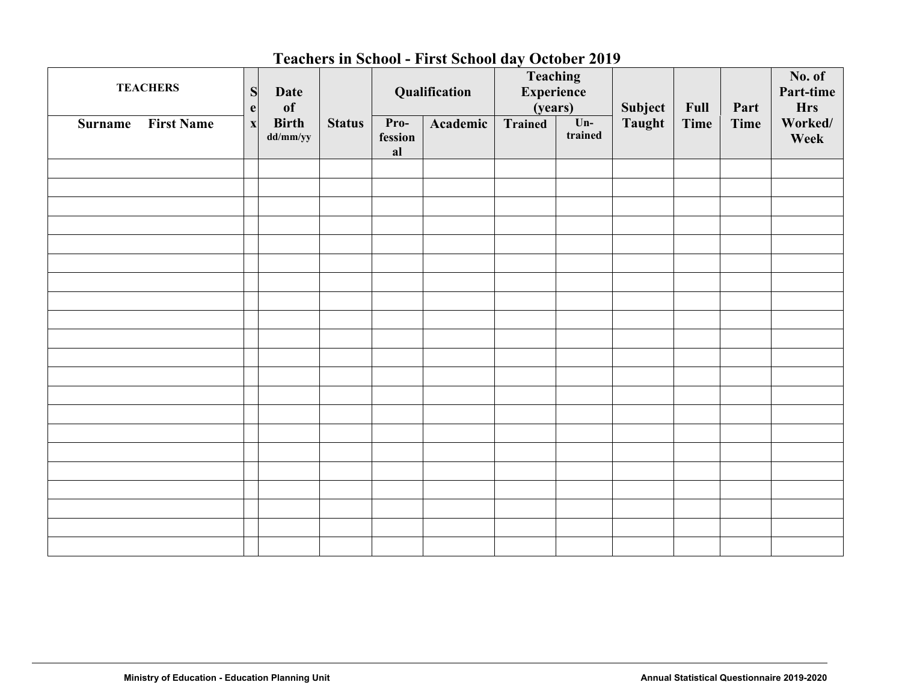### **Teachers in School - First School day October 2019**

| <b>TEACHERS</b>                     | S<br>$\mathbf e$          | Date<br>of               |               | Qualification         |          | Teaching<br>Experience<br>(years) |                  | Subject       | Full        | Part        | No. of<br>Part-time<br><b>Hrs</b> |
|-------------------------------------|---------------------------|--------------------------|---------------|-----------------------|----------|-----------------------------------|------------------|---------------|-------------|-------------|-----------------------------------|
| <b>First Name</b><br><b>Surname</b> | $\boldsymbol{\mathrm{X}}$ | <b>Birth</b><br>dd/mm/yy | <b>Status</b> | Pro-<br>fession<br>al | Academic | Trained                           | $Un-$<br>trained | <b>Taught</b> | <b>Time</b> | <b>Time</b> | Worked/<br>Week                   |
|                                     |                           |                          |               |                       |          |                                   |                  |               |             |             |                                   |
|                                     |                           |                          |               |                       |          |                                   |                  |               |             |             |                                   |
|                                     |                           |                          |               |                       |          |                                   |                  |               |             |             |                                   |
|                                     |                           |                          |               |                       |          |                                   |                  |               |             |             |                                   |
|                                     |                           |                          |               |                       |          |                                   |                  |               |             |             |                                   |
|                                     |                           |                          |               |                       |          |                                   |                  |               |             |             |                                   |
|                                     |                           |                          |               |                       |          |                                   |                  |               |             |             |                                   |
|                                     |                           |                          |               |                       |          |                                   |                  |               |             |             |                                   |
|                                     |                           |                          |               |                       |          |                                   |                  |               |             |             |                                   |
|                                     |                           |                          |               |                       |          |                                   |                  |               |             |             |                                   |
|                                     |                           |                          |               |                       |          |                                   |                  |               |             |             |                                   |
|                                     |                           |                          |               |                       |          |                                   |                  |               |             |             |                                   |
|                                     |                           |                          |               |                       |          |                                   |                  |               |             |             |                                   |
|                                     |                           |                          |               |                       |          |                                   |                  |               |             |             |                                   |
|                                     |                           |                          |               |                       |          |                                   |                  |               |             |             |                                   |
|                                     |                           |                          |               |                       |          |                                   |                  |               |             |             |                                   |
|                                     |                           |                          |               |                       |          |                                   |                  |               |             |             |                                   |
|                                     |                           |                          |               |                       |          |                                   |                  |               |             |             |                                   |
|                                     |                           |                          |               |                       |          |                                   |                  |               |             |             |                                   |
|                                     |                           |                          |               |                       |          |                                   |                  |               |             |             |                                   |
|                                     |                           |                          |               |                       |          |                                   |                  |               |             |             |                                   |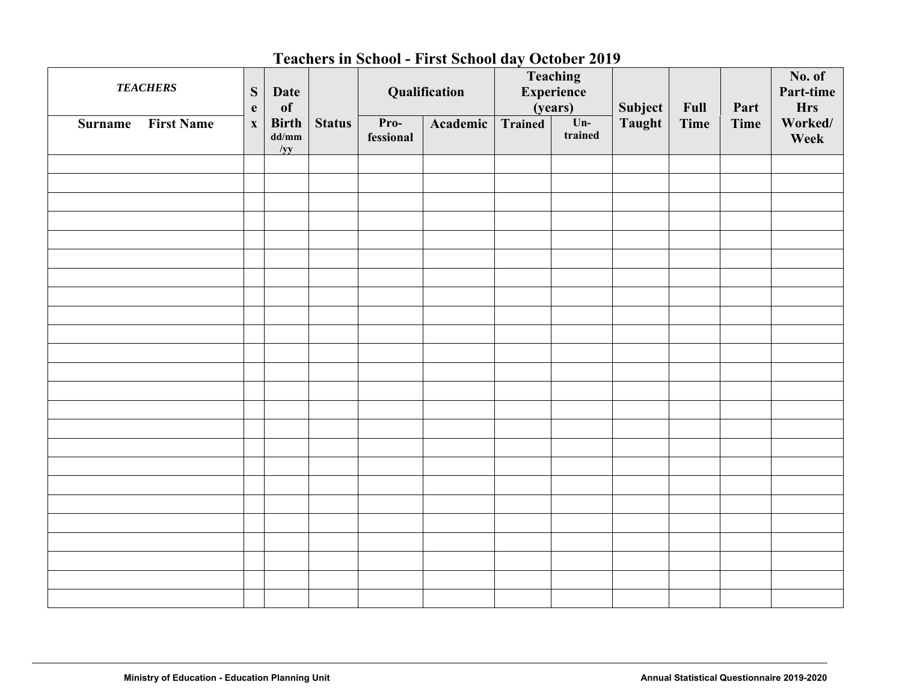## **Teachers in School - First School day October 2019**

| <b>TEACHERS</b>                     | ${\bf S}$<br>$\mathbf{e}$ | Date<br>of                                                           |               |                   | Qualification |                | Teaching<br>Experience<br>(years) | Subject | Full        | Part        | No. of<br>Part-time<br><b>Hrs</b> |
|-------------------------------------|---------------------------|----------------------------------------------------------------------|---------------|-------------------|---------------|----------------|-----------------------------------|---------|-------------|-------------|-----------------------------------|
| <b>First Name</b><br><b>Surname</b> | $\boldsymbol{\mathrm{X}}$ | <b>Birth</b><br>$\mathbf{d} \mathbf{d}/\mathbf{m} \mathbf{m}$<br>/yy | <b>Status</b> | Pro-<br>fessional | Academic      | <b>Trained</b> | $Un-$<br>trained                  | Taught  | <b>Time</b> | <b>Time</b> | Worked/<br>Week                   |
|                                     |                           |                                                                      |               |                   |               |                |                                   |         |             |             |                                   |
|                                     |                           |                                                                      |               |                   |               |                |                                   |         |             |             |                                   |
|                                     |                           |                                                                      |               |                   |               |                |                                   |         |             |             |                                   |
|                                     |                           |                                                                      |               |                   |               |                |                                   |         |             |             |                                   |
|                                     |                           |                                                                      |               |                   |               |                |                                   |         |             |             |                                   |
|                                     |                           |                                                                      |               |                   |               |                |                                   |         |             |             |                                   |
|                                     |                           |                                                                      |               |                   |               |                |                                   |         |             |             |                                   |
|                                     |                           |                                                                      |               |                   |               |                |                                   |         |             |             |                                   |
|                                     |                           |                                                                      |               |                   |               |                |                                   |         |             |             |                                   |
|                                     |                           |                                                                      |               |                   |               |                |                                   |         |             |             |                                   |
|                                     |                           |                                                                      |               |                   |               |                |                                   |         |             |             |                                   |
|                                     |                           |                                                                      |               |                   |               |                |                                   |         |             |             |                                   |
|                                     |                           |                                                                      |               |                   |               |                |                                   |         |             |             |                                   |
|                                     |                           |                                                                      |               |                   |               |                |                                   |         |             |             |                                   |
|                                     |                           |                                                                      |               |                   |               |                |                                   |         |             |             |                                   |
|                                     |                           |                                                                      |               |                   |               |                |                                   |         |             |             |                                   |
|                                     |                           |                                                                      |               |                   |               |                |                                   |         |             |             |                                   |
|                                     |                           |                                                                      |               |                   |               |                |                                   |         |             |             |                                   |
|                                     |                           |                                                                      |               |                   |               |                |                                   |         |             |             |                                   |
|                                     |                           |                                                                      |               |                   |               |                |                                   |         |             |             |                                   |
|                                     |                           |                                                                      |               |                   |               |                |                                   |         |             |             |                                   |
|                                     |                           |                                                                      |               |                   |               |                |                                   |         |             |             |                                   |
|                                     |                           |                                                                      |               |                   |               |                |                                   |         |             |             |                                   |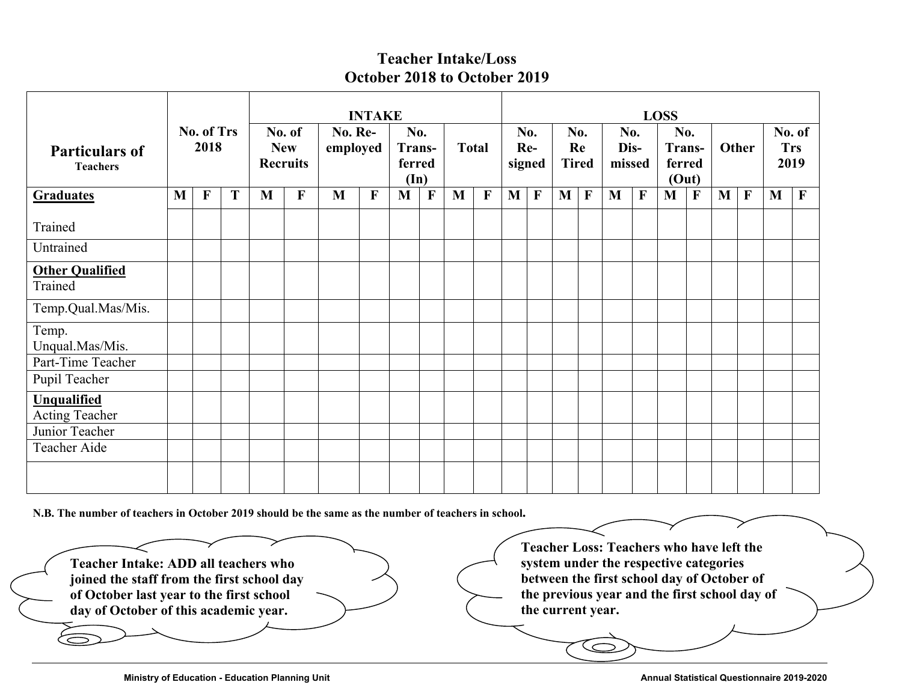#### **Teacher Intake/Loss October 2018 to October 2019**

|                                          |   |                    |   |   | <b>INTAKE</b>                           |                     |              |                                          |             |              |              |            | <b>LOSS</b> |            |                           |                       |              |                         |              |                |              |            |                |
|------------------------------------------|---|--------------------|---|---|-----------------------------------------|---------------------|--------------|------------------------------------------|-------------|--------------|--------------|------------|-------------|------------|---------------------------|-----------------------|--------------|-------------------------|--------------|----------------|--------------|------------|----------------|
| <b>Particulars of</b><br><b>Teachers</b> |   | No. of Trs<br>2018 |   |   | No. of<br><b>New</b><br><b>Recruits</b> | No. Re-<br>employed |              | No.<br>Trans-<br>ferred<br>$(\text{In})$ |             | <b>Total</b> |              | No.<br>Re- | signed      |            | No.<br>Re<br><b>Tired</b> | No.<br>Dis-<br>missed |              | No.<br>Trans-<br>ferred | (Out)        | Other          |              | <b>Trs</b> | No. of<br>2019 |
| <b>Graduates</b>                         | M | $\mathbf{F}$       | T | M | $\mathbf{F}$                            | M                   | $\mathbf{F}$ | M                                        | $\mathbf F$ | $\mathbf{M}$ | $\mathbf{F}$ | M          | $\mathbf F$ | $M \mid F$ |                           | M                     | $\mathbf{F}$ | $\mathbf M$             | $\mathbf{F}$ | M <sub>1</sub> | $\mathbf{F}$ | M          | $\mathbf{F}$   |
| Trained                                  |   |                    |   |   |                                         |                     |              |                                          |             |              |              |            |             |            |                           |                       |              |                         |              |                |              |            |                |
| Untrained                                |   |                    |   |   |                                         |                     |              |                                          |             |              |              |            |             |            |                           |                       |              |                         |              |                |              |            |                |
| <b>Other Qualified</b><br>Trained        |   |                    |   |   |                                         |                     |              |                                          |             |              |              |            |             |            |                           |                       |              |                         |              |                |              |            |                |
| Temp.Qual.Mas/Mis.                       |   |                    |   |   |                                         |                     |              |                                          |             |              |              |            |             |            |                           |                       |              |                         |              |                |              |            |                |
| Temp.<br>Unqual.Mas/Mis.                 |   |                    |   |   |                                         |                     |              |                                          |             |              |              |            |             |            |                           |                       |              |                         |              |                |              |            |                |
| Part-Time Teacher<br>Pupil Teacher       |   |                    |   |   |                                         |                     |              |                                          |             |              |              |            |             |            |                           |                       |              |                         |              |                |              |            |                |
| <b>Unqualified</b><br>Acting Teacher     |   |                    |   |   |                                         |                     |              |                                          |             |              |              |            |             |            |                           |                       |              |                         |              |                |              |            |                |
| Junior Teacher                           |   |                    |   |   |                                         |                     |              |                                          |             |              |              |            |             |            |                           |                       |              |                         |              |                |              |            |                |
| Teacher Aide                             |   |                    |   |   |                                         |                     |              |                                          |             |              |              |            |             |            |                           |                       |              |                         |              |                |              |            |                |
|                                          |   |                    |   |   |                                         |                     |              |                                          |             |              |              |            |             |            |                           |                       |              |                         |              |                |              |            |                |

**N.B. The number of teachers in October 2019 should be the same as the number of teachers in school.** 

**Teacher Intake: ADD all teachers who joined the staff from the first school day of October last year to the first school day of October of this academic year.** 

**Teacher Loss: Teachers who have left the system under the respective categories between the first school day of October of the previous year and the first school day of the current year.**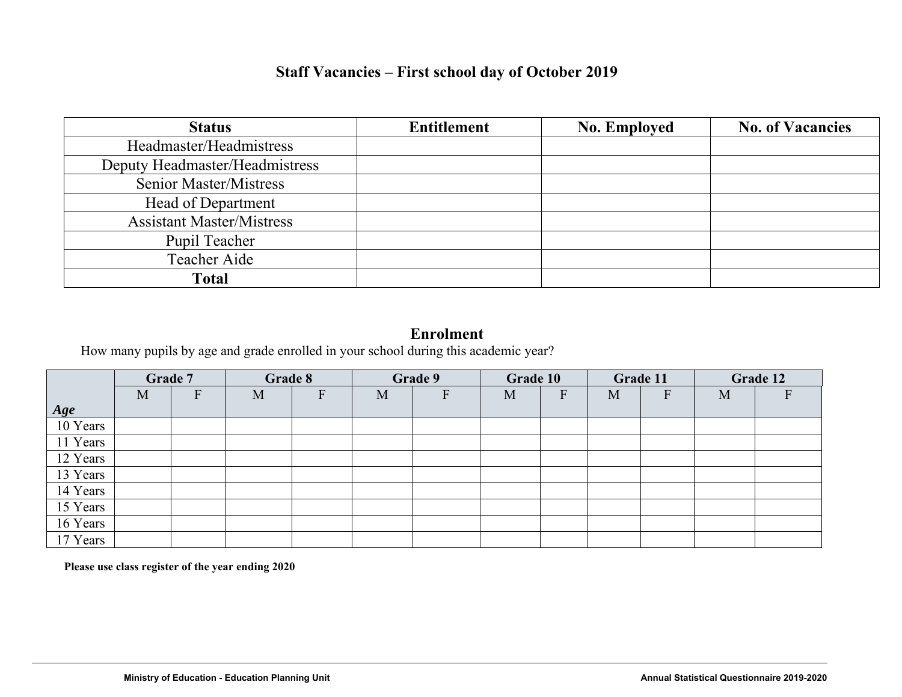### **Staff Vacancies – First school day of October 2019**

| <b>Status</b>                    | <b>Entitlement</b> | <b>No. Employed</b> | <b>No. of Vacancies</b> |
|----------------------------------|--------------------|---------------------|-------------------------|
| Headmaster/Headmistress          |                    |                     |                         |
| Deputy Headmaster/Headmistress   |                    |                     |                         |
| <b>Senior Master/Mistress</b>    |                    |                     |                         |
| Head of Department               |                    |                     |                         |
| <b>Assistant Master/Mistress</b> |                    |                     |                         |
| Pupil Teacher                    |                    |                     |                         |
| Teacher Aide                     |                    |                     |                         |
| <b>Total</b>                     |                    |                     |                         |

#### **Enrolment**

How many pupils by age and grade enrolled in your school during this academic year?

|          | Grade 7 |           | Grade 8 |                           |   | Grade 9      | Grade 10 |   |   | Grade 11 | Grade 12 |   |  |
|----------|---------|-----------|---------|---------------------------|---|--------------|----------|---|---|----------|----------|---|--|
|          | M       | ${\bf F}$ | M       | $\boldsymbol{\mathrm{F}}$ | M | $\mathbf{F}$ | M        | F | M | F        | M        | F |  |
| Age      |         |           |         |                           |   |              |          |   |   |          |          |   |  |
| 10 Years |         |           |         |                           |   |              |          |   |   |          |          |   |  |
| 11 Years |         |           |         |                           |   |              |          |   |   |          |          |   |  |
| 12 Years |         |           |         |                           |   |              |          |   |   |          |          |   |  |
| 13 Years |         |           |         |                           |   |              |          |   |   |          |          |   |  |
| 14 Years |         |           |         |                           |   |              |          |   |   |          |          |   |  |
| 15 Years |         |           |         |                           |   |              |          |   |   |          |          |   |  |
| 16 Years |         |           |         |                           |   |              |          |   |   |          |          |   |  |
| 17 Years |         |           |         |                           |   |              |          |   |   |          |          |   |  |

 **Please use class register of the year ending 2020**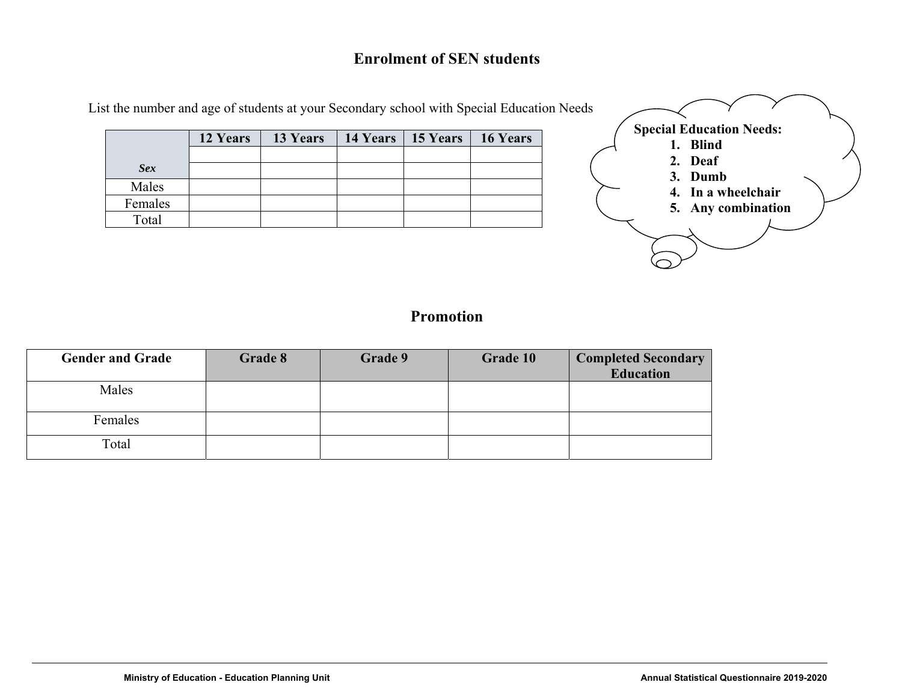#### **Enrolment of SEN students**

|            | 12 Years | <b>13 Years</b>   14 Years   15 Years   16 Years |  |  |
|------------|----------|--------------------------------------------------|--|--|
| <b>Sex</b> |          |                                                  |  |  |
| Males      |          |                                                  |  |  |
| Females    |          |                                                  |  |  |
| Total      |          |                                                  |  |  |



### **Promotion**

| <b>Gender and Grade</b> | Grade 8 | Grade 9 | Grade 10 | <b>Completed Secondary</b><br><b>Education</b> |
|-------------------------|---------|---------|----------|------------------------------------------------|
| Males                   |         |         |          |                                                |
| Females                 |         |         |          |                                                |
| Total                   |         |         |          |                                                |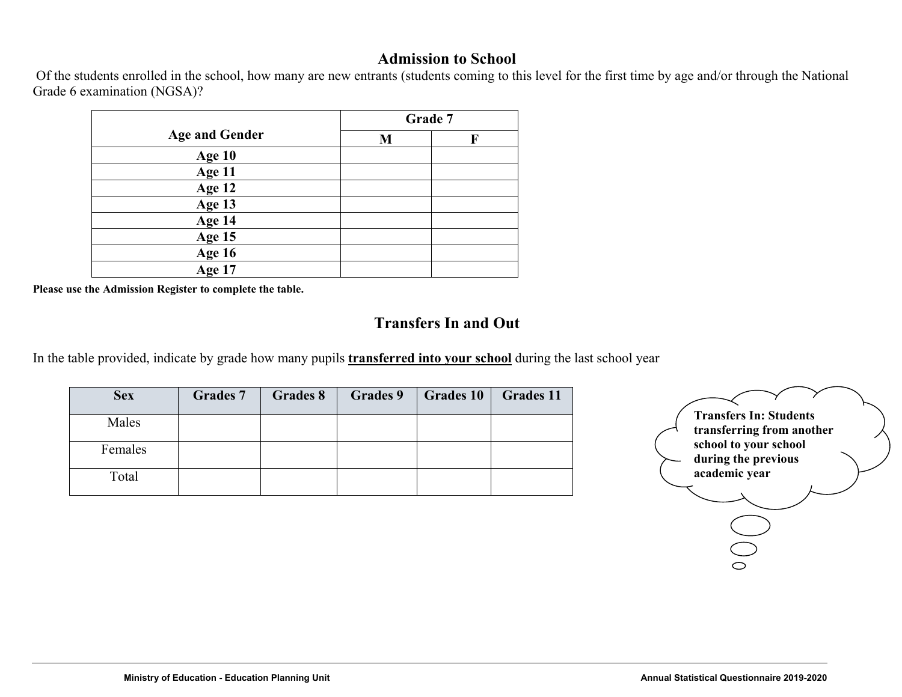#### **Admission to School**

 Of the students enrolled in the school, how many are new entrants (students coming to this level for the first time by age and/or through the National Grade 6 examination (NGSA)?

|                       |   | Grade 7 |
|-----------------------|---|---------|
| <b>Age and Gender</b> | M | F       |
| Age 10                |   |         |
| Age 11                |   |         |
| Age 12                |   |         |
| Age 13                |   |         |
| Age 14                |   |         |
| Age 15                |   |         |
| Age 16<br>Age 17      |   |         |
|                       |   |         |

**Please use the Admission Register to complete the table.** 

### **Transfers In and Out**

In the table provided, indicate by grade how many pupils **transferred into your school** during the last school year

| <b>Sex</b> | <b>Grades 7</b> | Grades 8 | <b>Grades 9</b> | <b>Grades 10</b> | <b>Grades 11</b> |
|------------|-----------------|----------|-----------------|------------------|------------------|
| Males      |                 |          |                 |                  |                  |
| Females    |                 |          |                 |                  |                  |
| Total      |                 |          |                 |                  |                  |

| <b>Transfers In: Students</b> |  |
|-------------------------------|--|
| transferring from another     |  |
| school to your school         |  |
| during the previous           |  |
| academic year                 |  |
|                               |  |
|                               |  |
|                               |  |
|                               |  |
|                               |  |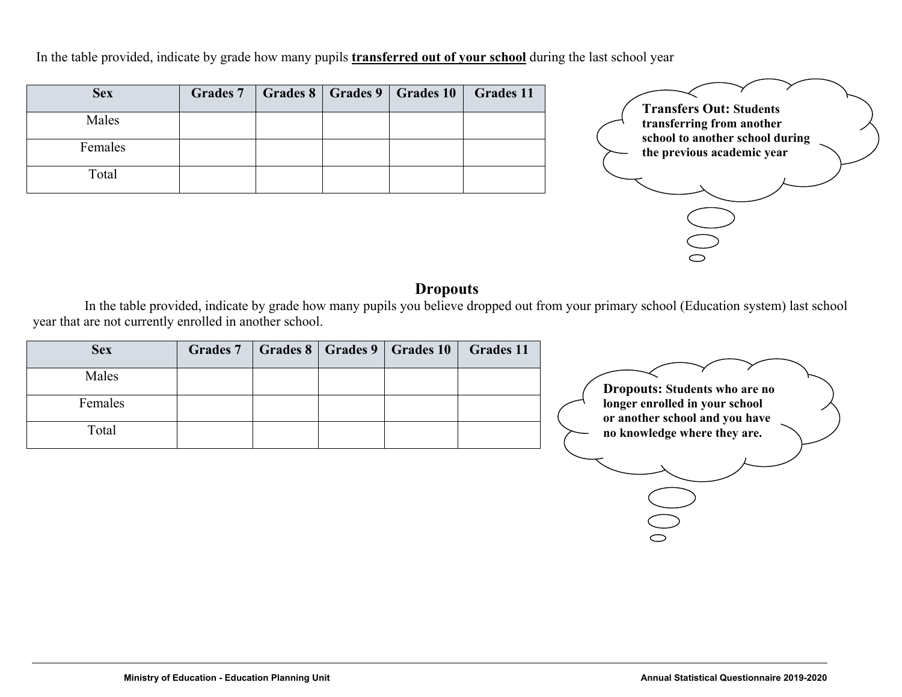In the table provided, indicate by grade how many pupils **transferred out of your school** during the last school year

| <b>Sex</b> |  | Grades 7   Grades 8   Grades 9   Grades 10 | $\vert$ Grades 11 |
|------------|--|--------------------------------------------|-------------------|
| Males      |  |                                            |                   |
| Females    |  |                                            |                   |
| Total      |  |                                            |                   |



#### **Dropouts**

In the table provided, indicate by grade how many pupils you believe dropped out from your primary school (Education system) last school year that are not currently enrolled in another school.

| Males<br><b>Dropouts: Students who are no</b><br>longer enrolled in your school<br>Females<br>or another school and you have<br>Total<br>no knowledge where they are. | <b>Sex</b> | <b>Grades 7</b> |  | Grades 8   Grades 9   Grades 10 | <b>Grades 11</b> |  |
|-----------------------------------------------------------------------------------------------------------------------------------------------------------------------|------------|-----------------|--|---------------------------------|------------------|--|
|                                                                                                                                                                       |            |                 |  |                                 |                  |  |
|                                                                                                                                                                       |            |                 |  |                                 |                  |  |
|                                                                                                                                                                       |            |                 |  |                                 |                  |  |
|                                                                                                                                                                       |            |                 |  |                                 |                  |  |
|                                                                                                                                                                       |            |                 |  |                                 |                  |  |

 $\bigcup_{i=1}^n$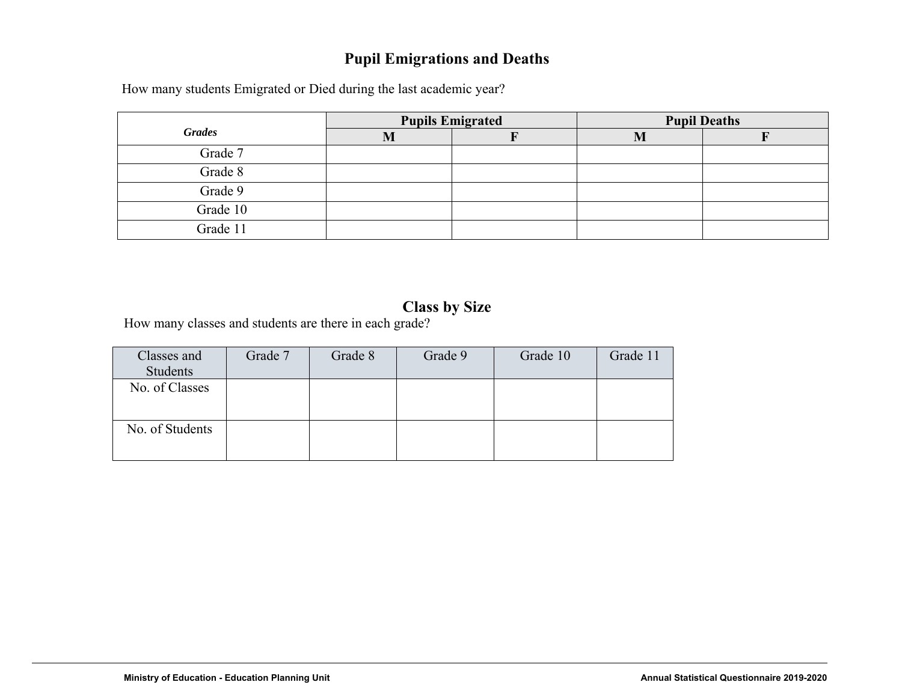# **Pupil Emigrations and Deaths**

How many students Emigrated or Died during the last academic year?

|               |     | <b>Pupils Emigrated</b> | <b>Pupil Deaths</b> |  |  |  |  |  |
|---------------|-----|-------------------------|---------------------|--|--|--|--|--|
| <b>Grades</b> | IV. |                         |                     |  |  |  |  |  |
| Grade 7       |     |                         |                     |  |  |  |  |  |
| Grade 8       |     |                         |                     |  |  |  |  |  |
| Grade 9       |     |                         |                     |  |  |  |  |  |
| Grade 10      |     |                         |                     |  |  |  |  |  |
| Grade 11      |     |                         |                     |  |  |  |  |  |

## **Class by Size**

How many classes and students are there in each grade?

| Classes and<br>Students | Grade 7 | Grade 8 | Grade 9 | Grade 10 | Grade 11 |
|-------------------------|---------|---------|---------|----------|----------|
| No. of Classes          |         |         |         |          |          |
| No. of Students         |         |         |         |          |          |